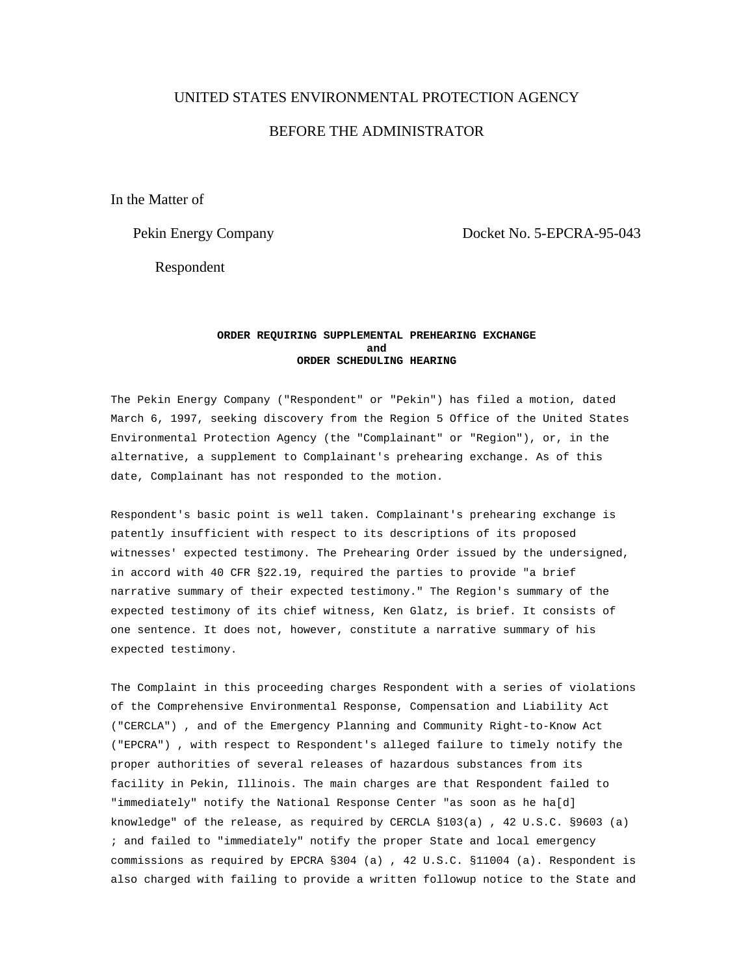## UNITED STATES ENVIRONMENTAL PROTECTION AGENCY

# BEFORE THE ADMINISTRATOR

In the Matter of

Pekin Energy Company Docket No. 5-EPCRA-95-043

Respondent

## **ORDER REQUIRING SUPPLEMENTAL PREHEARING EXCHANGE and ORDER SCHEDULING HEARING**

The Pekin Energy Company ("Respondent" or "Pekin") has filed a motion, dated March 6, 1997, seeking discovery from the Region 5 Office of the United States Environmental Protection Agency (the "Complainant" or "Region"), or, in the alternative, a supplement to Complainant's prehearing exchange. As of this date, Complainant has not responded to the motion.

Respondent's basic point is well taken. Complainant's prehearing exchange is patently insufficient with respect to its descriptions of its proposed witnesses' expected testimony. The Prehearing Order issued by the undersigned, in accord with 40 CFR §22.19, required the parties to provide "a brief narrative summary of their expected testimony." The Region's summary of the expected testimony of its chief witness, Ken Glatz, is brief. It consists of one sentence. It does not, however, constitute a narrative summary of his expected testimony.

The Complaint in this proceeding charges Respondent with a series of violations of the Comprehensive Environmental Response, Compensation and Liability Act ("CERCLA") , and of the Emergency Planning and Community Right-to-Know Act ("EPCRA") , with respect to Respondent's alleged failure to timely notify the proper authorities of several releases of hazardous substances from its facility in Pekin, Illinois. The main charges are that Respondent failed to "immediately" notify the National Response Center "as soon as he ha[d] knowledge" of the release, as required by CERCLA §103(a) , 42 U.S.C. §9603 (a) ; and failed to "immediately" notify the proper State and local emergency commissions as required by EPCRA §304 (a) , 42 U.S.C. §11004 (a). Respondent is also charged with failing to provide a written followup notice to the State and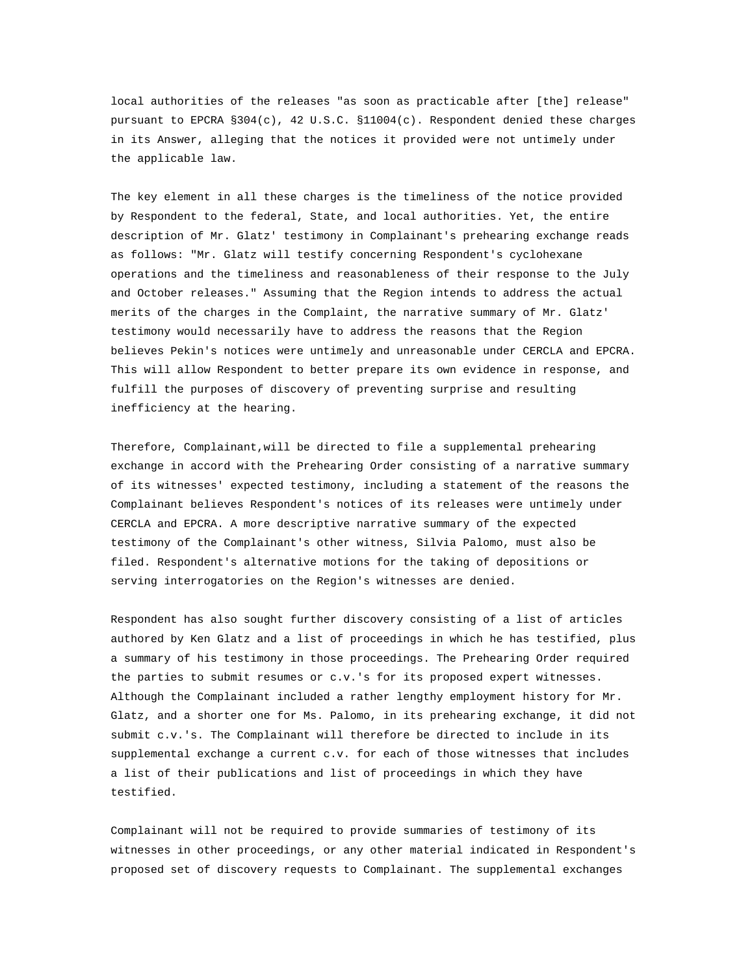local authorities of the releases "as soon as practicable after [the] release" pursuant to EPCRA §304(c), 42 U.S.C. §11004(c). Respondent denied these charges in its Answer, alleging that the notices it provided were not untimely under the applicable law.

The key element in all these charges is the timeliness of the notice provided by Respondent to the federal, State, and local authorities. Yet, the entire description of Mr. Glatz' testimony in Complainant's prehearing exchange reads as follows: "Mr. Glatz will testify concerning Respondent's cyclohexane operations and the timeliness and reasonableness of their response to the July and October releases." Assuming that the Region intends to address the actual merits of the charges in the Complaint, the narrative summary of Mr. Glatz' testimony would necessarily have to address the reasons that the Region believes Pekin's notices were untimely and unreasonable under CERCLA and EPCRA. This will allow Respondent to better prepare its own evidence in response, and fulfill the purposes of discovery of preventing surprise and resulting inefficiency at the hearing.

Therefore, Complainant,will be directed to file a supplemental prehearing exchange in accord with the Prehearing Order consisting of a narrative summary of its witnesses' expected testimony, including a statement of the reasons the Complainant believes Respondent's notices of its releases were untimely under CERCLA and EPCRA. A more descriptive narrative summary of the expected testimony of the Complainant's other witness, Silvia Palomo, must also be filed. Respondent's alternative motions for the taking of depositions or serving interrogatories on the Region's witnesses are denied.

Respondent has also sought further discovery consisting of a list of articles authored by Ken Glatz and a list of proceedings in which he has testified, plus a summary of his testimony in those proceedings. The Prehearing Order required the parties to submit resumes or c.v.'s for its proposed expert witnesses. Although the Complainant included a rather lengthy employment history for Mr. Glatz, and a shorter one for Ms. Palomo, in its prehearing exchange, it did not submit c.v.'s. The Complainant will therefore be directed to include in its supplemental exchange a current c.v. for each of those witnesses that includes a list of their publications and list of proceedings in which they have testified.

Complainant will not be required to provide summaries of testimony of its witnesses in other proceedings, or any other material indicated in Respondent's proposed set of discovery requests to Complainant. The supplemental exchanges